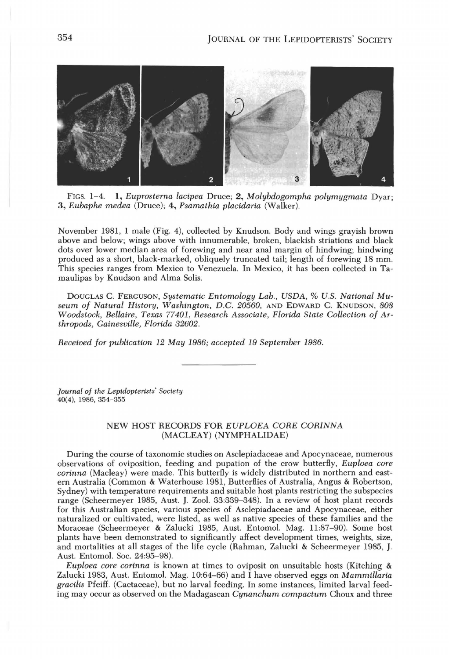

FIGS. 1-4. 1, *Euprosterna lacipea* Druce; 2, *Molybdogompha polymygmata* Dyar; *3, Eubaphe medea* (Druce); 4, *Psamathia placidaria* (Walker).

November 1981, 1 male (Fig. 4), collected by Knudson. Body and wings grayish brown above and below; wings above with innumerable, broken, blackish striations and black dots over lower median area of forewing and near anal margin of hindwing; hindwing produced as a short, black-marked, obliquely truncated tail; length of forewing 18 mm. This species ranges from Mexico to Venezuela. In Mexico, it has been collected in Tamaulipas by Knudson and Alma Solis.

DOUGLAS C. FERGUSON, *Systematic Entomology Lab., USDA,* % *U.S. National Museum of Natural History, Washington, D.C. 20560,* AND EDWARD C. KNUDSON, *808 Woodstock, Bellaire, Texas 77401, Research Associate, Florida State Collection of Arthropods, Gainesville, Florida 32602.* 

*Received for publication* 12 *May* 1986; *accepted* 19 *September 1986.* 

*Journal of the Lepidopterists' Society*  40(4), 1986, 354-355

## NEW HOST RECORDS FOR *EUPLOEA CORE CORINNA*  (MACLEAY) (NYMPHALIDAE)

During the course of taxonomic studies on Asclepiadaceae and Apocynaceae, numerous observations of oviposition, feeding and pupation of the crow butterfly, *Euploea core corinna* (Macleay) were made. This butterfly is widely distributed in northern and eastern Australia (Common & Waterhouse 1981, Butterflies of Australia, Angus & Robertson, Sydney) with temperature requirements and suitable host plants restricting the subspecies range (Scheermeyer 1985, Aust. J. Zool. 33:339-348). In a review of host plant records for this Australian species, various species of Asclepiadaceae and Apocynaceae, either naturalized or cultivated, were listed, as well as native species of these families and the Moraceae (Scheermeyer & Zalucki 1985, Aust. Entomol. Mag. 11:87-90). Some host plants have been demonstrated to significantly affect development times, weights, size, and mortalities at all stages of the life cycle (Rahman, Zalucki & Scheermeyer 1985, J. Aust. Entomol. Soc. 24:95-98).

*Euploea core corinna* is known at times to oviposit on unsuitable hosts (Kitching & Zalucki 1983, Aust. Entomol. Mag. 10:64-66) and I have observed eggs on *Mammillaria gracilis* Pfeiff. (Cactaceae), but no larval feeding. In some instances, limited larval feeding may occur as observed on the Madagascan *Cynanchum compactum* Choux and three